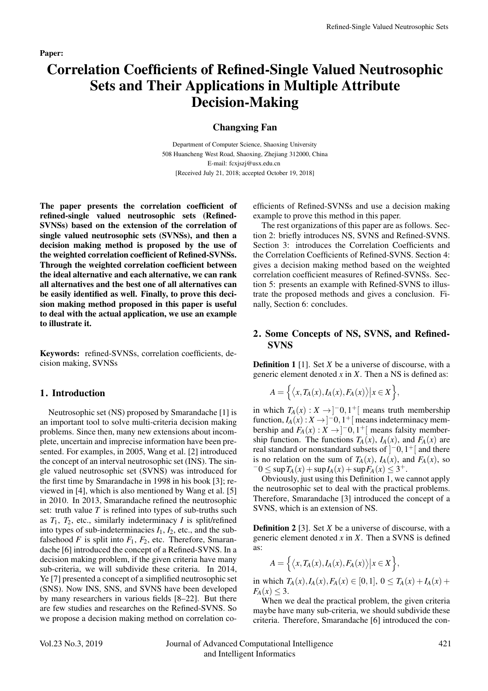# Correlation Coefficients of Refined-Single Valued Neutrosophic Sets and Their Applications in Multiple Attribute Decision-Making

### Changxing Fan

Department of Computer Science, Shaoxing University 508 Huancheng West Road, Shaoxing, Zhejiang 312000, China E-mail: fcxjszj@usx.edu.cn [Received July 21, 2018; accepted October 19, 2018]

The paper presents the correlation coefficient of refined-single valued neutrosophic sets (Refined-SVNSs) based on the extension of the correlation of single valued neutrosophic sets (SVNSs), and then a decision making method is proposed by the use of the weighted correlation coefficient of Refined-SVNSs. Through the weighted correlation coefficient between the ideal alternative and each alternative, we can rank all alternatives and the best one of all alternatives can be easily identified as well. Finally, to prove this decision making method proposed in this paper is useful to deal with the actual application, we use an example to illustrate it.

Keywords: refined-SVNSs, correlation coefficients, decision making, SVNSs

## 1. Introduction

Neutrosophic set (NS) proposed by Smarandache [1] is an important tool to solve multi-criteria decision making problems. Since then, many new extensions about incomplete, uncertain and imprecise information have been presented. For examples, in 2005, Wang et al. [2] introduced the concept of an interval neutrosophic set (INS). The single valued neutrosophic set (SVNS) was introduced for the first time by Smarandache in 1998 in his book [3]; reviewed in [4], which is also mentioned by Wang et al. [5] in 2010. In 2013, Smarandache refined the neutrosophic set: truth value *T* is refined into types of sub-truths such as  $T_1$ ,  $T_2$ , etc., similarly indeterminacy *I* is split/refined into types of sub-indeterminacies  $I_1$ ,  $I_2$ , etc., and the subfalsehood  $F$  is split into  $F_1$ ,  $F_2$ , etc. Therefore, Smarandache [6] introduced the concept of a Refined-SVNS. In a decision making problem, if the given criteria have many sub-criteria, we will subdivide these criteria. In 2014, Ye [7] presented a concept of a simplified neutrosophic set (SNS). Now INS, SNS, and SVNS have been developed by many researchers in various fields [8–22]. But there are few studies and researches on the Refined-SVNS. So we propose a decision making method on correlation coefficients of Refined-SVNSs and use a decision making example to prove this method in this paper.

The rest organizations of this paper are as follows. Section 2: briefly introduces NS, SVNS and Refined-SVNS. Section 3: introduces the Correlation Coefficients and the Correlation Coefficients of Refined-SVNS. Section 4: gives a decision making method based on the weighted correlation coefficient measures of Refined-SVNSs. Section 5: presents an example with Refined-SVNS to illustrate the proposed methods and gives a conclusion. Finally, Section 6: concludes.

## 2. Some Concepts of NS, SVNS, and Refined-SVNS

**Definition 1** [1]. Set *X* be a universe of discourse, with a generic element denoted *x* in *X*. Then a NS is defined as:

$$
A = \left\{ \left\langle x, T_A(x), I_A(x), F_A(x) \right\rangle | x \in X \right\},\
$$

in which  $T_A(x) : X \to ]-0,1^+[$  means truth membership function,  $I_A(x): X \to ]-0, 1^+[$  means indeterminacy membership and  $F_A(x)$  :  $X \to ]-0,1^+[$  means falsity membership function. The functions  $T_A(x)$ ,  $I_A(x)$ , and  $F_A(x)$  are real standard or nonstandard subsets of ] <sup>−</sup>0*,*1+[ and there is no relation on the sum of *T<sub>A</sub>*(*x*), *I<sub>A</sub>*(*x*), and *F<sub>A</sub>*(*x*), so −0 ≤ sup *T<sub>A</sub>*(*x*) + sup*I<sub>A</sub>*(*x*) + sup *F<sub>A</sub>*(*x*) ≤ 3<sup>+</sup>.

Obviously, just using this Definition 1, we cannot apply the neutrosophic set to deal with the practical problems. Therefore, Smarandache [3] introduced the concept of a SVNS, which is an extension of NS.

Definition 2 [3]. Set *X* be a universe of discourse, with a generic element denoted  $x$  in  $X$ . Then a SVNS is defined as:

$$
A = \left\{ \left\langle x, T_A(x), I_A(x), F_A(x) \right\rangle | x \in X \right\},\
$$

in which  $T_A(x)$ ,  $I_A(x)$ ,  $F_A(x) \in [0,1]$ ,  $0 \le T_A(x) + I_A(x) + I_A(x)$  $F_A(x) \leq 3$ .

When we deal the practical problem, the given criteria maybe have many sub-criteria, we should subdivide these criteria. Therefore, Smarandache [6] introduced the con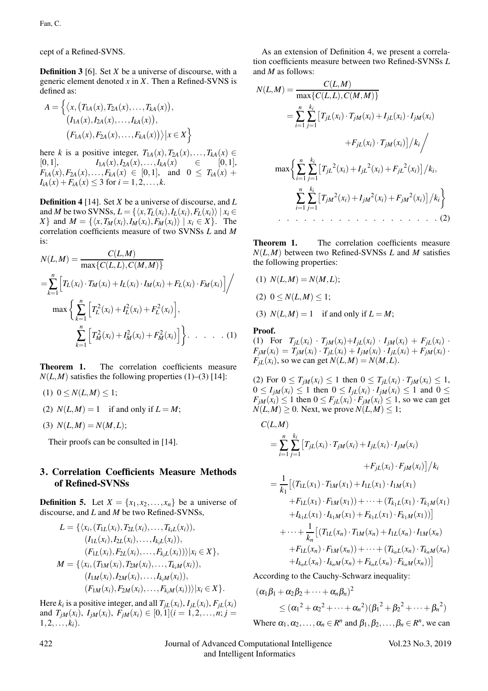cept of a Refined-SVNS.

**Definition 3** [6]. Set *X* be a universe of discourse, with a generic element denoted *x* in *X*. Then a Refined-SVNS is defined as:

$$
A = \left\{ \langle x, (T_{1A}(x), T_{2A}(x), \dots, T_{kA}(x)), \\ (I_{1A}(x), I_{2A}(x), \dots, I_{kA}(x)), \\ (F_{1A}(x), F_{2A}(x), \dots, F_{kA}(x)) \rangle | x \in X \right\}
$$

here *k* is a positive integer,  $T_{1A}(x), T_{2A}(x), \ldots, T_{kA}(x) \in$  $I_{1A}(x), I_{2A}(x), \ldots, I_{kA}(x) \in [0,1],$  $F_{1A}(x)$ ,  $F_{2A}(x)$ , ...,  $F_{kA}(x) \in [0,1]$ , and  $0 \leq T_{iA}(x)$  +  $I_{iA}(x) + F_{iA}(x) \leq 3$  for  $i = 1, 2, ..., k$ .

Definition 4 [14]. Set *X* be a universe of discourse, and *L* and *M* be two SVNSs,  $L = \{ \langle x, T_L(x_i), I_L(x_i), F_L(x_i) \rangle \mid x_i \in$ *X*} and  $M = \{ \langle x, T_M(x_i), I_M(x_i), F_M(x_i) \rangle \mid x_i \in X \}.$  The correlation coefficients measure of two SVNSs *L* and *M* is:

$$
N(L, M) = \frac{C(L, M)}{\max\{C(L, L), C(M, M)\}}
$$
  
= 
$$
\sum_{k=1}^{n} \left[ T_L(x_i) \cdot T_M(x_i) + I_L(x_i) \cdot I_M(x_i) + F_L(x_i) \cdot F_M(x_i) \right] / \max \left\{ \sum_{k=1}^{n} \left[ T_L^2(x_i) + I_L^2(x_i) + F_L^2(x_i) \right], \sum_{k=1}^{n} \left[ T_M^2(x_i) + I_M^2(x_i) + F_M^2(x_i) \right] \right\} . \dots . (1)
$$

Theorem 1. The correlation coefficients measure  $N(L,M)$  satisfies the following properties (1)–(3) [14]:

- $(1)$   $0 \le N(L,M) \le 1;$
- (2)  $N(L,M) = 1$  if and only if  $L = M$ ;
- (3)  $N(L,M) = N(M,L);$

Their proofs can be consulted in [14].

## 3. Correlation Coefficients Measure Methods of Refined-SVNSs

**Definition 5.** Let  $X = \{x_1, x_2, \ldots, x_n\}$  be a universe of discourse, and *L* and *M* be two Refined-SVNSs,

$$
L = \{ \langle x_i, (T_{1L}(x_i), T_{2L}(x_i), \dots, T_{k_iL}(x_i)), (I_{1L}(x_i), I_{2L}(x_i), \dots, I_{k_iL}(x_i)), (F_{1L}(x_i), F_{2L}(x_i), \dots, F_{k_iL}(x_i)) \rangle | x_i \in X \}, M = \{ \langle x_i, (T_{1M}(x_i), T_{2M}(x_i), \dots, T_{k_iM}(x_i)), (I_{1M}(x_i), I_{2M}(x_i), \dots, I_{k_iM}(x_i)) \rangle | x_i \in X \}.
$$

Here  $k_i$  is a positive integer, and all  $T_{iL}(x_i)$ ,  $I_{iL}(x_i)$ ,  $F_{iL}(x_i)$ and  $T_{jM}(x_i)$ ,  $I_{jM}(x_i)$ ,  $F_{jM}(x_i) \in [0,1]$   $(i = 1,2,...,n; j =$  $1, 2, \ldots, k_i$ .

As an extension of Definition 4, we present a correlation coefficients measure between two Refined-SVNSs *L* and *M* as follows:

*<sup>N</sup>*(*L,M*) = *<sup>C</sup>*(*L,M*) max{*C*(*L,L*)*,C*(*M,M*)} = *n* ∑ *i*=1 *ki* ∑ *j*=1 *TjL*(*xi*)·*TjM*(*xi*) +*IjL*(*xi*)·*IjM*(*xi*) +*FjL*(*xi*)·*TjM*(*xi*) *ki* max *<sup>n</sup>* ∑ *i*=1 *ki* ∑ *j*=1 *TjL* 2 (*xi*) +*IjL* 2 (*xi*) +*FjL* <sup>2</sup>(*xi*) *ki, n* ∑ *i*=1 *ki* ∑ *j*=1 *TjM* <sup>2</sup>(*xi*) +*IjM* <sup>2</sup>(*xi*) +*FjM* <sup>2</sup>(*xi*) *ki* . . . . . . . . . . . . . . . . . . . (2)

Theorem 1. The correlation coefficients measure  $N(L,M)$  between two Refined-SVNSs *L* and *M* satisfies the following properties:

- (1)  $N(L,M) = N(M,L);$  $(2)$   $0 \leq N(L,M) \leq 1;$
- (3)  $N(L,M) = 1$  if and only if  $L = M$ ;

### Proof.

(1) For 
$$
T_{jL}(x_i) \cdot T_{jM}(x_i) + I_{jL}(x_i) \cdot I_{jM}(x_i) + F_{jL}(x_i) \cdot F_{jM}(x_i) = T_{jM}(x_i) \cdot T_{jL}(x_i) + I_{jM}(x_i) \cdot I_{jL}(x_i) + F_{jM}(x_i) \cdot F_{jL}(x_i)
$$
, so we can get  $N(L, M) = N(M, L)$ .

(2) For  $0 \le T_{jM}(x_i) \le 1$  then  $0 \le T_{jL}(x_i) \cdot T_{jM}(x_i) \le 1$ ,  $0 \le I_{iM}(x_i) \le 1$  then  $0 \le I_{iL}(x_i) \cdot I_{iM}(x_i) \le 1$  and  $0 \le$  $F_{jM}(x_i) \leq 1$  then  $0 \leq F_{jL}(x_i) \cdot F_{jM}(x_i) \leq 1$ , so we can get  $N(L,M) \geq 0$ . Next, we prove  $N(L,M) \leq 1$ ;

$$
C(L,M)
$$
  
\n
$$
= \sum_{i=1}^{n} \sum_{j=1}^{k_i} \left[ T_{jL}(x_i) \cdot T_{jM}(x_i) + I_{jL}(x_i) \cdot I_{jM}(x_i) + F_{jL}(x_i) \cdot F_{jM}(x_i) \right] / k_i
$$
  
\n
$$
= \frac{1}{k_1} \left[ \left( T_{1L}(x_1) \cdot T_{1M}(x_1) + I_{1L}(x_1) \cdot I_{1M}(x_1) \right) + F_{1L}(x_1) \cdot F_{1M}(x_1) \right. \\ \left. + F_{1L}(x_1) \cdot F_{1M}(x_1) \right) + \dots + \left( T_{k_1L}(x_1) \cdot T_{k_1M}(x_1) \right) \right]
$$
  
\n
$$
+ \dots + \frac{1}{k_n} \left[ \left( T_{1L}(x_n) \cdot T_{1M}(x_n) + I_{1L}(x_n) \cdot I_{1M}(x_n) \right) + F_{1L}(x_n) \cdot F_{1M}(x_n) + F_{1L}(x_n) \cdot F_{k_nM}(x_n) \right. \\ \left. + I_{k_nL}(x_n) \cdot I_{k_nM}(x_n) + F_{k_nL}(x_n) \cdot F_{k_nM}(x_n) \right)
$$

According to the Cauchy-Schwarz inequality:

$$
(\alpha_1 \beta_1 + \alpha_2 \beta_2 + \dots + \alpha_n \beta_n)^2
$$
  
\n
$$
\leq (\alpha_1^2 + \alpha_2^2 + \dots + \alpha_n^2)(\beta_1^2 + \beta_2^2 + \dots + \beta_n^2)
$$
  
\nWhere  $\alpha_1, \alpha_2, \dots, \alpha_n \in R^n$  and  $\beta_1, \beta_2, \dots, \beta_n \in R^n$ , we can

422 Journal of Advanced Computational Intelligence Vol.23 No.3, 2019 and Intelligent Informatics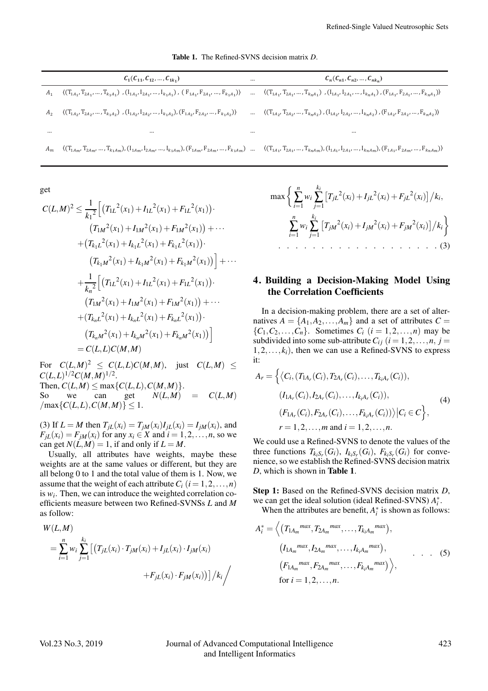Table 1. The Refined-SVNS decision matrix *D*.

|          | $C_1(C_{11}, C_{12}, , C_{1k_1})$                                                                                                                                                                                                                                                                                                     | $\cdots$ | $C_n(C_{n1}, C_{n2}, , C_{nk_n})$                                                                                            |
|----------|---------------------------------------------------------------------------------------------------------------------------------------------------------------------------------------------------------------------------------------------------------------------------------------------------------------------------------------|----------|------------------------------------------------------------------------------------------------------------------------------|
| $A_1$    | $\langle (T_{1_{A_1}},T_{2_{A_1}},\ldots,T_{k_1A_1})\ , (I_{1_{A_1}},I_{2_{A_1}},\ldots,I_{k_1A_1})\ ,\ (F_{1_{A_1}},F_{2_{A_1}},\ldots,F_{k_1A_1})\rangle\quad \ldots\quad \langle (T_{1_{A_1}},T_{2_{A_1}},\ldots,T_{k_nA_1})\ , (I_{1_{A_1}},I_{2_{A_1}},\ldots,I_{k_nA_1})\ , (F_{1_{A_1}},F_{2_{A_1}},\ldots,F_{k_nA_1})\rangle$ |          |                                                                                                                              |
| $A_2$    | $\langle (T_{1A_2}, T_{2A_2}, \ldots, T_{k_1A_2})$ , $(I_{1A_2}, I_{2A_2}, \ldots, I_{k_1A_2}), (F_{1A_2}, F_{2A_2}, \ldots, F_{k_1A_2}) \rangle$                                                                                                                                                                                     |          | $\langle (T_{1A_2}, T_{2A_2}, , T_{k_nA_2}), (I_{1A_2}, I_{2A_2}, , I_{k_nA_2}), (F_{1A_2}, F_{2A_2}, , F_{k_nA_2}) \rangle$ |
| $\cdots$ | $\cdots$                                                                                                                                                                                                                                                                                                                              | $\cdots$ |                                                                                                                              |
| $A_m$    | $\langle (T_{14_m},T_{24_m},\ldots,T_{k_14_m}), (I_{14_m},I_{24_m},\ldots,I_{k_14_m}), (F_{14_m},F_{24_m},\ldots,F_{k_14_m})\ \ldots \\ \quad \langle (T_{14_1},T_{24_1},\ldots,T_{k_n4_m}), (I_{14_1},I_{24_1},\ldots,I_{k_n4_m}), (F_{14_1},F_{24_m},\ldots,F_{k_n4_m}) \rangle$                                                    |          |                                                                                                                              |

get

$$
C(L,M)^{2} \leq \frac{1}{k_{1}^{2}} \Big[ \big( T_{1L}^{2}(x_{1}) + I_{1L}^{2}(x_{1}) + F_{1L}^{2}(x_{1}) \big) \cdot
$$
  
\n
$$
\big( T_{1M}^{2}(x_{1}) + I_{1M}^{2}(x_{1}) + F_{1M}^{2}(x_{1}) \big) + \cdots
$$
  
\n
$$
\big( T_{k_{1}L}^{2}(x_{1}) + I_{k_{1}L}^{2}(x_{1}) + F_{k_{1}L}^{2}(x_{1}) \big) \cdot
$$
  
\n
$$
\big( T_{k_{1}M}^{2}(x_{1}) + I_{k_{1}M}^{2}(x_{1}) + F_{k_{1}M}^{2}(x_{1}) \big) \Big] + \cdots
$$
  
\n
$$
\big( T_{k_{1}M}^{2}(x_{1}) + I_{1L}^{2}(x_{1}) + F_{1L}^{2}(x_{1}) \big) \cdot
$$
  
\n
$$
\big( T_{1M}^{2}(x_{1}) + I_{1M}^{2}(x_{1}) + F_{1M}^{2}(x_{1}) \big) + \cdots
$$
  
\n
$$
\big( T_{k_{n}L}^{2}(x_{1}) + I_{k_{n}L}^{2}(x_{1}) + F_{k_{n}L}^{2}(x_{1}) \big) \cdot
$$
  
\n
$$
\big( T_{k_{n}M}^{2}(x_{1}) + I_{k_{n}M}^{2}(x_{1}) + F_{k_{n}M}^{2}(x_{1}) \big) \Big]
$$
  
\n
$$
= C(L, L)C(M, M)
$$

For  $C(L,M)^2 \leq C(L,L)C(M,M)$ , just  $C(L,M) \leq$  $C(L, L)^{1/2} C(M, M)^{1/2}.$ Then,  $C(L, M) \le \max\{C(L, L), C(M, M)\}.$ So we can get  $N(L,M) = C(L,M)$  $\{C(L, L), C(M, M)\} \leq 1.$ 

(3) If  $L = M$  then  $T_{iL}(x_i) = T_{iM}(x_i)I_{iL}(x_i) = I_{iM}(x_i)$ , and  $F_{iL}(x_i) = F_{iM}(x_i)$  for any  $x_i \in X$  and  $i = 1, 2, \ldots, n$ , so we can get  $N(L,M) = 1$ , if and only if  $L = M$ .

Usually, all attributes have weights, maybe these weights are at the same values or different, but they are all belong 0 to 1 and the total value of them is 1. Now, we assume that the weight of each attribute  $C_i$  ( $i = 1, 2, \ldots, n$ ) is  $w_i$ . Then, we can introduce the weighted correlation coefficients measure between two Refined-SVNSs *L* and *M* as follow:

$$
W(L, M)
$$
  
=  $\sum_{i=1}^{n} w_i \sum_{j=1}^{k_i} [(T_{jL}(x_i) \cdot T_{jM}(x_i) + I_{jL}(x_i) \cdot I_{jM}(x_i) + F_{jL}(x_i) \cdot F_{jM}(x_i))]/k_i /$ 

$$
\max \left\{ \sum_{i=1}^{n} w_i \sum_{j=1}^{k_i} \left[ T_{jL}^2(x_i) + I_{jL}^2(x_i) + F_{jL}^2(x_i) \right] / k_i, \right\}
$$

$$
\sum_{i=1}^{n} w_i \sum_{j=1}^{k_i} \left[ T_{jM}^2(x_i) + I_{jM}^2(x_i) + F_{jM}^2(x_i) \right] / k_i \right\}
$$

## 4. Building a Decision-Making Model Using the Correlation Coefficients

In a decision-making problem, there are a set of alternatives  $A = \{A_1, A_2, \ldots, A_m\}$  and a set of attributes  $C =$  ${C_1, C_2, \ldots, C_n}$ . Sometimes  $C_i$  ( $i = 1, 2, \ldots, n$ ) may be subdivided into some sub-attribute  $C_{ij}$  ( $i = 1, 2, ..., n$ ,  $j =$  $1, 2, \ldots, k_i$ , then we can use a Refined-SVNS to express it:

$$
A_r = \left\{ \langle C_i, (T_{1A_r}(C_i), T_{2A_r}(C_i), \dots, T_{k_iA_r}(C_i)), (I_{1A_r}(C_i), I_{2A_r}(C_i), \dots, I_{k_iA_r}(C_i)), (F_{1A_r}(C_i), F_{2A_r}(C_i), \dots, F_{k_iA_r}(C_i)) \rangle | C_i \in C \right\},
$$
\n
$$
r = 1, 2, \dots, m \text{ and } i = 1, 2, \dots, n.
$$
\n
$$
(4)
$$

We could use a Refined-SVNS to denote the values of the three functions  $T_{k_iS_r}(G_i)$ ,  $I_{k_iS_r}(G_i)$ ,  $F_{k_iS_r}(G_i)$  for convenience, so we establish the Refined-SVNS decision matrix *D*, which is shown in Table 1.

Step 1: Based on the Refined-SVNS decision matrix *D*, we can get the ideal solution (ideal Refined-SVNS) *A*<sup>∗</sup> *i* .

When the attributes are benefit,  $A_i^*$  is shown as follows:

$$
A_{i}^{*} = \left\langle \left(T_{1A_{m}}^{max}, T_{2A_{m}}^{max}, \dots, T_{k_{i}A_{m}}^{max}\right), \right. \\ \left. \left(I_{1A_{m}}^{max}, I_{2A_{m}}^{max}, \dots, I_{k_{i}A_{m}}^{max}\right), \right. \\ \left. \left(F_{1A_{m}}^{max}, F_{2A_{m}}^{max}, \dots, F_{k_{i}A_{m}}^{max}\right) \right\rangle, \\ \text{for } i = 1, 2, \dots, n.
$$
 (5)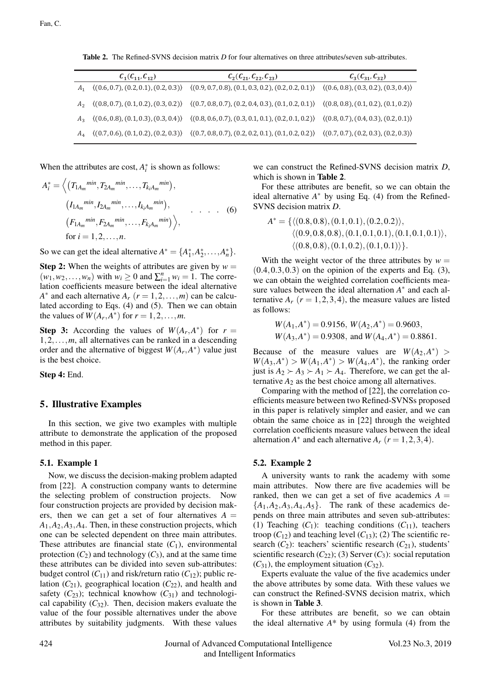Table 2. The Refined-SVNS decision matrix *D* for four alternatives on three attributes/seven sub-attributes.

| $C_1(C_{11}, C_{12})$ | $C_2(C_{21}, C_{22}, C_{23})$                                                                                                                   | $C_3(C_{31}, C_{32})$ |
|-----------------------|-------------------------------------------------------------------------------------------------------------------------------------------------|-----------------------|
|                       | $A_1$ $( (0.6, 0.7), (0.2, 0.1), (0.2, 0.3))$ $( (0.9, 0.7, 0.8), (0.1, 0.3, 0.2), (0.2, 0.2, 0.1))$ $( (0.6, 0.8), (0.3, 0.2), (0.3, 0.4))$    |                       |
|                       | $A_2$ ((0.8, 0.7), (0.1, 0.2), (0.3, 0.2)) ((0.7, 0.8, 0.7), (0.2, 0.4, 0.3), (0.1, 0.2, 0.1)) ((0.8, 0.8), (0.1, 0.2), (0.1, 0.2))             |                       |
|                       | $A_3$ ((0.6, 0.8), (0.1, 0.3), (0.3, 0.4)) ((0.8, 0.6, 0.7), (0.3, 0.1, 0.1), (0.2, 0.1, 0.2)) ((0.8, 0.7), (0.4, 0.3), (0.2, 0.1))             |                       |
|                       | $A_4$ $( (0.7, 0.6), (0.1, 0.2), (0.2, 0.3) )$ $( (0.7, 0.8, 0.7), (0.2, 0.2, 0.1), (0.1, 0.2, 0.2) )$ $( (0.7, 0.7), (0.2, 0.3), (0.2, 0.3) )$ |                       |

When the attributes are cost,  $A_i^*$  is shown as follows:

$$
A_i^* = \left\langle \left( T_{1A_m}^{min}, T_{2A_m}^{min}, \dots, T_{k_i A_m}^{min} \right), \right. \n\left. \left( I_{1A_m}^{min}, I_{2A_m}^{min}, \dots, I_{k_i A_m}^{min} \right), \right. \n\left. \left( F_{1A_m}^{min}, F_{2A_m}^{min}, \dots, F_{k_i A_m}^{min} \right) \right\rangle, \n\text{for } i = 1, 2, \dots, n.
$$
\n(6)

So we can get the ideal alternative  $A^* = \{A_1^*, A_2^*, \ldots, A_n^*\}.$ 

**Step 2:** When the weights of attributes are given by  $w =$  $(w_1, w_2, \ldots, w_n)$  with  $w_i \ge 0$  and  $\sum_{i=1}^n w_i = 1$ . The correlation coefficients measure between the ideal alternative *A*<sup>∗</sup> and each alternative  $A_r$  ( $r = 1, 2, ..., m$ ) can be calculated according to Eqs. (4) and (5). Then we can obtain the values of  $W(A_r, A^*)$  for  $r = 1, 2, \ldots, m$ .

**Step 3:** According the values of  $W(A_r, A^*)$  for  $r =$ 1*,*2*,...,m*, all alternatives can be ranked in a descending order and the alternative of biggest  $W(A_r, A^*)$  value just is the best choice.

Step 4: End.

#### 5. Illustrative Examples

In this section, we give two examples with multiple attribute to demonstrate the application of the proposed method in this paper.

#### 5.1. Example 1

Now, we discuss the decision-making problem adapted from [22]. A construction company wants to determine the selecting problem of construction projects. Now four construction projects are provided by decision makers, then we can get a set of four alternatives  $A =$ *A*1*,A*2*,A*3*,A*4. Then, in these construction projects, which one can be selected dependent on three main attributes. These attributes are financial state  $(C_1)$ , environmental protection  $(C_2)$  and technology  $(C_3)$ , and at the same time these attributes can be divided into seven sub-attributes: budget control  $(C_{11})$  and risk/return ratio  $(C_{12})$ ; public relation  $(C_{21})$ , geographical location  $(C_{22})$ , and health and safety  $(C_{23})$ ; technical knowhow  $(C_{31})$  and technological capability  $(C_{32})$ . Then, decision makers evaluate the value of the four possible alternatives under the above attributes by suitability judgments. With these values

we can construct the Refined-SVNS decision matrix *D*, which is shown in Table 2.

For these attributes are benefit, so we can obtain the ideal alternative  $A^*$  by using Eq. (4) from the Refined-SVNS decision matrix *D*.

$$
A^* = \{ \langle (0.8, 0.8), (0.1, 0.1), (0.2, 0.2) \rangle, \\ \langle (0.9, 0.8, 0.8), (0.1, 0.1, 0.1), (0.1, 0.1, 0.1) \rangle, \\ \langle (0.8, 0.8), (0.1, 0.2), (0.1, 0.1) \rangle \}.
$$

With the weight vector of the three attributes by  $w =$ (0*.*4*,*0*.*3*,*0*.*3) on the opinion of the experts and Eq. (3), we can obtain the weighted correlation coefficients measure values between the ideal alternation *A*<sup>∗</sup> and each alternative  $A_r$  ( $r = 1, 2, 3, 4$ ), the measure values are listed as follows:

$$
W(A_1, A^*) = 0.9156
$$
,  $W(A_2, A^*) = 0.9603$ ,  
\n $W(A_3, A^*) = 0.9308$ , and  $W(A_4, A^*) = 0.8861$ .

Because of the measure values are  $W(A_2, A^*)$  $W(A_3, A^*) > W(A_1, A^*) > W(A_4, A^*)$ , the ranking order just is  $A_2 \succ A_3 \succ A_1 \succ A_4$ . Therefore, we can get the alternative  $A_2$  as the best choice among all alternatives.

Comparing with the method of [22], the correlation coefficients measure between two Refined-SVNSs proposed in this paper is relatively simpler and easier, and we can obtain the same choice as in [22] through the weighted correlation coefficients measure values between the ideal alternation  $A^*$  and each alternative  $A_r$  ( $r = 1, 2, 3, 4$ ).

#### 5.2. Example 2

A university wants to rank the academy with some main attributes. Now there are five academies will be ranked, then we can get a set of five academics  $A =$  ${A_1, A_2, A_3, A_4, A_5}$ . The rank of these academics depends on three main attributes and seven sub-attributes: (1) Teaching  $(C_1)$ : teaching conditions  $(C_{11})$ , teachers troop  $(C_{12})$  and teaching level  $(C_{13})$ ; (2) The scientific research  $(C_2)$ : teachers' scientific research  $(C_{21})$ , students' scientific research  $(C_{22})$ ; (3) Server  $(C_3)$ : social reputation  $(C_{31})$ , the employment situation  $(C_{32})$ .

Experts evaluate the value of the five academics under the above attributes by some data. With these values we can construct the Refined-SVNS decision matrix, which is shown in Table 3.

For these attributes are benefit, so we can obtain the ideal alternative  $A^*$  by using formula (4) from the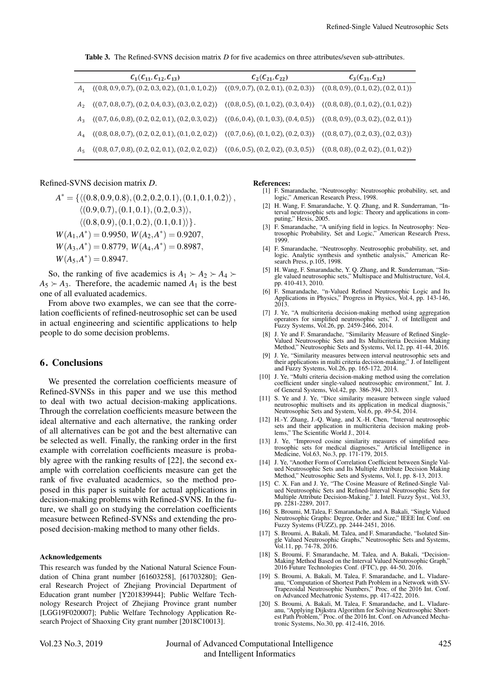Table 3. The Refined-SVNS decision matrix *D* for five academics on three attributes/seven sub-attributes.

| $C_1(C_{11}, C_{12}, C_{13})$                                                                                                                   | $C_2(C_{21}, C_{22})$ | $C_3(C_{31}, C_{32})$ |
|-------------------------------------------------------------------------------------------------------------------------------------------------|-----------------------|-----------------------|
| $A_1$ $( (0.8, 0.9, 0.7), (0.2, 0.3, 0.2), (0.1, 0.1, 0.2))$ $( (0.9, 0.7), (0.2, 0.1), (0.2, 0.3))$ $( (0.8, 0.9), (0.1, 0.2), (0.2, 0.1))$    |                       |                       |
| $A_2$ $( (0.7, 0.8, 0.7), (0.2, 0.4, 0.3), (0.3, 0.2, 0.2))$ $( (0.8, 0.5), (0.1, 0.2), (0.3, 0.4))$ $( (0.8, 0.8), (0.1, 0.2), (0.1, 0.2))$    |                       |                       |
| $A_3$ $( (0.7, 0.6, 0.8), (0.2, 0.2, 0.1), (0.2, 0.3, 0.2) )$ $( (0.6, 0.4), (0.1, 0.3), (0.4, 0.5) )$ $( (0.8, 0.9), (0.3, 0.2), (0.2, 0.1) )$ |                       |                       |
| $A_4$ $( (0.8, 0.8, 0.7), (0.2, 0.2, 0.1), (0.1, 0.2, 0.2))$ $( (0.7, 0.6), (0.1, 0.2), (0.2, 0.3) )$ $( (0.8, 0.7), (0.2, 0.3), (0.2, 0.3) )$  |                       |                       |
| $A_5$ ((0.8, 0.7, 0.8), (0.2, 0.2, 0.1), (0.2, 0.2, 0.2)) ((0.6, 0.5), (0.2, 0.2), (0.3, 0.5)) ((0.8, 0.8), (0.2, 0.2), (0.1, 0.2))             |                       |                       |

Refined-SVNS decision matrix *D*.

 $A^* = \{ \langle (0.8, 0.9, 0.8), (0.2, 0.2, 0.1), (0.1, 0.1, 0.2) \rangle$ , (0*.*9*,*0*.*7)*,*(0*.*1*,*0*.*1)*,*(0*.*2*,*0*.*3)*,*  $\{(0.8, 0.9), (0.1, 0.2), (0.1, 0.1)\}$ .  $W(A_1, A^*) = 0.9950, W(A_2, A^*) = 0.9207,$  $W(A_3, A^*) = 0.8779, W(A_4, A^*) = 0.8987,$  $W(A_5, A^*) = 0.8947$ .

So, the ranking of five academics is  $A_1 \succ A_2 \succ A_4 \succ$  $A_5 \rightarrow A_3$ . Therefore, the academic named  $A_1$  is the best one of all evaluated academics.

From above two examples, we can see that the correlation coefficients of refined-neutrosophic set can be used in actual engineering and scientific applications to help people to do some decision problems.

#### 6. Conclusions

We presented the correlation coefficients measure of Refined-SVNSs in this paper and we use this method to deal with two actual decision-making applications. Through the correlation coefficients measure between the ideal alternative and each alternative, the ranking order of all alternatives can be got and the best alternative can be selected as well. Finally, the ranking order in the first example with correlation coefficients measure is probably agree with the ranking results of [22], the second example with correlation coefficients measure can get the rank of five evaluated academics, so the method proposed in this paper is suitable for actual applications in decision-making problems with Refined-SVNS. In the future, we shall go on studying the correlation coefficients measure between Refined-SVNSs and extending the proposed decision-making method to many other fields.

#### Acknowledgements

This research was funded by the National Natural Science Foundation of China grant number [61603258], [61703280]; General Research Project of Zhejiang Provincial Department of Education grant number [Y201839944]; Public Welfare Technology Research Project of Zhejiang Province grant number [LGG19F020007]; Public Welfare Technology Application Research Project of Shaoxing City grant number [2018C10013].

#### References:

- [1] F. Smarandache, "Neutrosophy: Neutrosophic probability, set, and logic," American Research Press, 1998.
- [2] H. Wang, F. Smarandache, Y. Q. Zhang, and R. Sunderraman, "Interval neutrosophic sets and logic: Theory and applications in computing," Hexis, 2005.
- [3] F. Smarandache, "A unifying field in logics. In Neutrosophy: Neutrosophic Probability, Set and Logic," American Research Press, 1999.
- [4] F. Smarandache, "Neutrosophy. Neutrosophic probability, set, and logic. Analytic synthesis and synthetic analysis," American Research Press, p.105, 1998.
- [5] H. Wang, F. Smarandache, Y. Q. Zhang, and R. Sunderraman, "Single valued neutrosophic sets," Multispace and Multistructure, Vol.4, pp. 410-413, 2010.
- [6] F. Smarandache, "n-Valued Refined Neutrosophic Logic and Its Applications in Physics," Progress in Physics, Vol.4, pp. 143-146, 2013.
- [7] J. Ye, "A multicriteria decision-making method using aggregation operators for simplified neutrosophic sets," J. of Intelligent and Fuzzy Systems, Vol.26, pp. 2459-2466, 2014.
- [8] J. Ye and F. Smarandache, "Similarity Measure of Refined Single-Valued Neutrosophic Sets and Its Multicriteria Decision Making Method," Neutrosophic Sets and Systems, Vol.12, pp. 41-44, 2016.
- [9] J. Ye, "Similarity measures between interval neutrosophic sets and their applications in multi criteria decision-making," J. of Intelligent and Fuzzy Systems, Vol.26, pp. 165-172, 2014.
- [10] J. Ye, "Multi criteria decision-making method using the correlation coefficient under single-valued neutrosophic environment," Int. J. of General Systems, Vol.42, pp. 386-394, 2013.
- [11] S. Ye and J. Ye, "Dice similarity measure between single valued neutrosophic multisets and its application in medical diagnosis, Neutrosophic Sets and System, Vol.6, pp. 49-54, 2014.
- [12] H.-Y. Zhang, J.-Q. Wang, and X.-H. Chen, "Interval neutrosophic sets and their application in multicriteria decision making problems," The Scientific World J., 2014.
- [13] J. Ye, "Improved cosine similarity measures of simplified neu-trosophic sets for medical diagnoses," Artificial Intelligence in Medicine, Vol.63, No.3, pp. 171-179, 2015.
- [14] J. Ye, "Another Form of Correlation Coefficient between Single Valued Neutrosophic Sets and Its Multiple Attribute Decision Making Method," Neutrosophic Sets and Systems, Vol.1, pp. 8-13, 2013.
- [15] C. X. Fan and J. Ye, "The Cosine Measure of Refined-Single Valued Neutrosophic Sets and Refined-Interval Neutrosophic Sets for Multiple Attribute Decision-Making," J. Intell. Fuzzy Syst., Vol.33, pp. 2281-2289, 2017.
- [16] S. Broumi, M. Talea, F. Smarandache, and A. Bakali, "Single Valued Neutrosophic Graphs: Degree, Order and Size," IEEE Int. Conf. on Fuzzy Systems (FUZZ), pp. 2444-2451, 2016.
- [17] S. Broumi, A. Bakali, M. Talea, and F. Smarandache, "Isolated Single Valued Neutrosophic Graphs," Neutrosophic Sets and Systems, Vol.11, pp. 74-78, 2016.
- [18] S. Broumi, F. Smarandache, M. Talea, and A. Bakali, "Decision-Making Method Based on the Interval Valued Neutrosophic Graph," 2016 Future Technologies Conf. (FTC), pp. 44-50, 2016.
- [19] S. Broumi, A. Bakali, M. Talea, F. Smarandache, and L. Vladareanu, "Computation of Shortest Path Problem in a Network with SV-Trapezoidal Neutrosophic Numbers," Proc. of the 2016 Int. Conf. on Advanced Mechatronic Systems, pp. 417-422, 2016.
- [20] S. Broumi, A. Bakali, M. Talea, F. Smarandache, and L. Vladareanu, "Applying Dijkstra Algorithm for Solving Neutrosophic Short-est Path Problem," Proc. of the 2016 Int. Conf. on Advanced Mechatronic Systems, No.30, pp. 412-416, 2016.